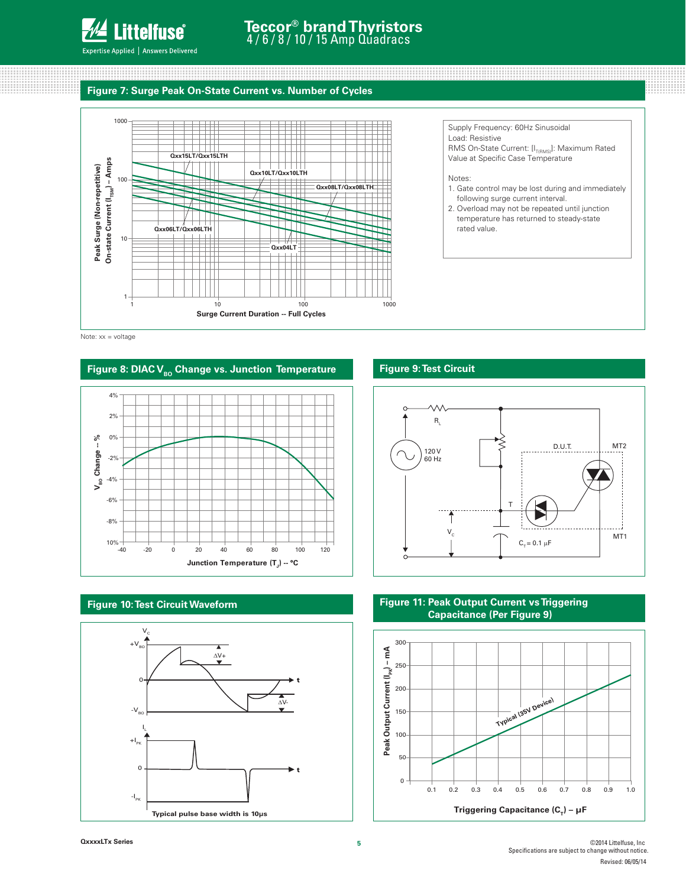

100000000000000

# **Teccor® brand Thyristors** 4 / 6 / 8 / 10 / 15 Amp Quadracs

# **Figure 7: Surge Peak On-State Current vs. Number of Cycles**



Note: xx = voltage

### Figure 8: DIAC V<sub>BO</sub> Change vs. Junction Temperature







### **Figure 9: Test Circuit**



**WANDA** 

88888888

### **Figure 11: Peak Output Current vs Triggering Capacitance (Per Figure 9)**

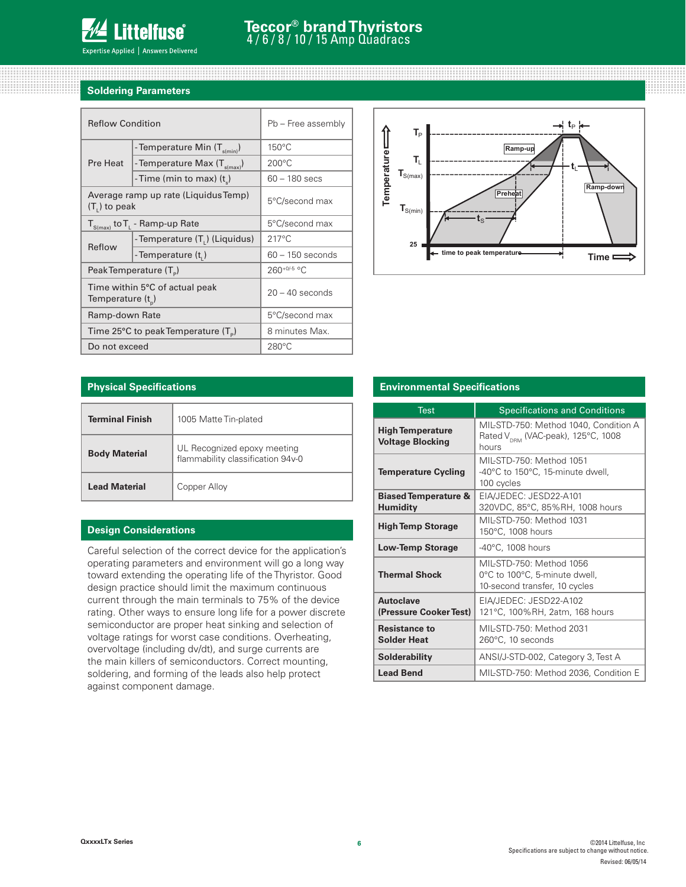

,,,,,,,,,,,,,,,,,,,,,,,,,,,,,,,,,,,,,,

## **Soldering Parameters**

00000000000 

| <b>Reflow Condition</b>                                   |                                            | Pb - Free assembly |  |
|-----------------------------------------------------------|--------------------------------------------|--------------------|--|
|                                                           | - Temperature Min (T <sub>s(min)</sub> )   | $150^{\circ}$ C    |  |
| Pre Heat                                                  | - Temperature Max $(T_{\text{s(max)}})$    | $200^{\circ}$ C    |  |
|                                                           | -Time (min to max) $(t_*)$                 | $60 - 180$ secs    |  |
| $(T1)$ to peak                                            | Average ramp up rate (Liquidus Temp)       | 5°C/second max     |  |
| $T_{S(max)}$ to $T_{L}$ - Ramp-up Rate                    |                                            | 5°C/second max     |  |
| Reflow                                                    | - Temperature (T <sub>1</sub> ) (Liquidus) | $217^{\circ}$ C    |  |
|                                                           | - Temperature (t,)                         | $60 - 150$ seconds |  |
|                                                           | Peak Temperature (T <sub>e</sub> )         | $260+0/5$ °C       |  |
| Time within 5°C of actual peak<br>Temperature $(t_{n})$   |                                            | $20 - 40$ seconds  |  |
| Ramp-down Rate                                            |                                            | 5°C/second max     |  |
| Time 25 $\degree$ C to peak Temperature (T <sub>o</sub> ) |                                            | 8 minutes Max.     |  |
| Do not exceed                                             |                                            | $280^{\circ}$ C    |  |

100000000000000000000



,,,,,,,,,,,,

### **Physical Specifications**

| <b>Terminal Finish</b> | 1005 Matte Tin-plated                                            |  |  |
|------------------------|------------------------------------------------------------------|--|--|
| <b>Body Material</b>   | UL Recognized epoxy meeting<br>flammability classification 94v-0 |  |  |
| <b>Lead Material</b>   | Copper Alloy                                                     |  |  |

### **Design Considerations**

Careful selection of the correct device for the application's operating parameters and environment will go a long way toward extending the operating life of the Thyristor. Good design practice should limit the maximum continuous current through the main terminals to 75% of the device rating. Other ways to ensure long life for a power discrete semiconductor are proper heat sinking and selection of voltage ratings for worst case conditions. Overheating, overvoltage (including dv/dt), and surge currents are the main killers of semiconductors. Correct mounting, soldering, and forming of the leads also help protect against component damage.

#### **Environmental Specifications**

| <b>Test</b>                                        | <b>Specifications and Conditions</b>                                                             |  |  |  |
|----------------------------------------------------|--------------------------------------------------------------------------------------------------|--|--|--|
| <b>High Temperature</b><br><b>Voltage Blocking</b> | MIL-STD-750: Method 1040, Condition A<br>Rated V <sub>DRM</sub> (VAC-peak), 125°C, 1008<br>hours |  |  |  |
| <b>Temperature Cycling</b>                         | MII-STD-750: Method 1051<br>-40°C to 150°C, 15-minute dwell,<br>100 cycles                       |  |  |  |
| <b>Biased Temperature &amp;</b><br><b>Humidity</b> | EIA/JEDEC: JESD22-A101<br>320VDC, 85°C, 85%RH, 1008 hours                                        |  |  |  |
| <b>High Temp Storage</b>                           | MIL-STD-750: Method 1031<br>150°C, 1008 hours                                                    |  |  |  |
| <b>Low-Temp Storage</b>                            | $-40^{\circ}$ C, 1008 hours                                                                      |  |  |  |
| <b>Thermal Shock</b>                               | MIL-STD-750: Method 1056<br>0°C to 100°C, 5-minute dwell,<br>10-second transfer, 10 cycles       |  |  |  |
| <b>Autoclave</b><br>(Pressure Cooker Test)         | EIA/JEDEC: JESD22-A102<br>121°C, 100%RH, 2atm, 168 hours                                         |  |  |  |
| <b>Resistance to</b><br><b>Solder Heat</b>         | MIL-STD-750: Method 2031<br>260°C, 10 seconds                                                    |  |  |  |
| <b>Solderability</b>                               | ANSI/J-STD-002, Category 3, Test A                                                               |  |  |  |
| <b>Lead Bend</b>                                   | MIL-STD-750: Method 2036, Condition E                                                            |  |  |  |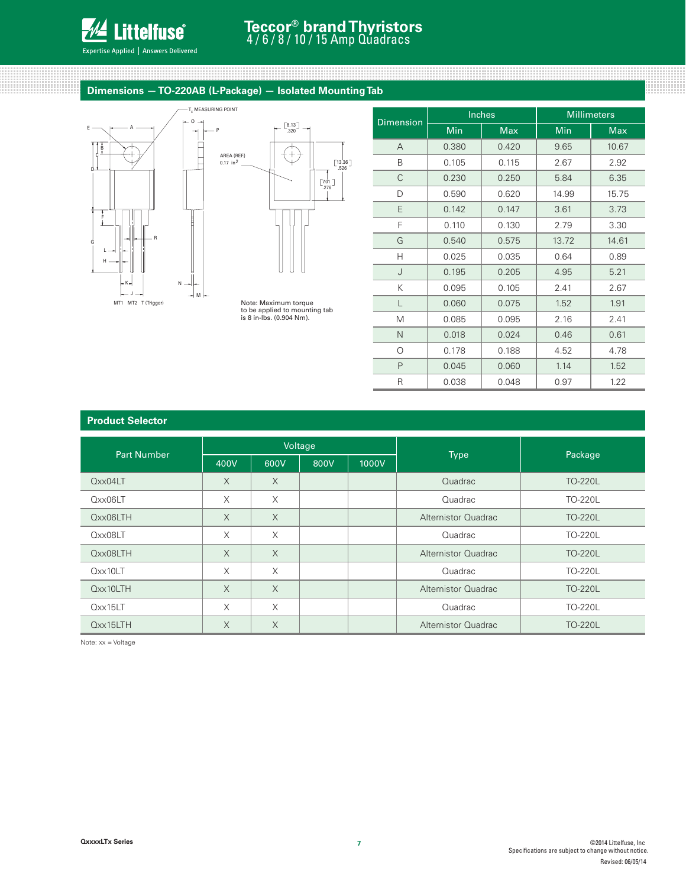

#### Expertise Applied | Answers Delivered

# **Teccor® brand Thyristors** 4 / 6 / 8 / 10 / 15 Amp Quadracs

# **Dimensions — TO-220AB (L-Package) — Isolated Mounting Tab**





to be applied to mounting tab is 8 in-lbs. (0.904 Nm).

| <b>Dimension</b> |       | Inches | <b>Millimeters</b> |            |  |
|------------------|-------|--------|--------------------|------------|--|
|                  | Min   | Max    | Min                | <b>Max</b> |  |
| A                | 0.380 | 0.420  | 9.65               | 10.67      |  |
| B                | 0.105 | 0.115  | 2.67               | 2.92       |  |
| C                | 0.230 | 0.250  | 5.84               | 6.35       |  |
| D                | 0.590 | 0.620  | 14.99              | 15.75      |  |
| E                | 0.142 | 0.147  | 3.61               | 3.73       |  |
| F                | 0.110 | 0.130  | 2.79               | 3.30       |  |
| G                | 0.540 |        | 13.72              | 14.61      |  |
| Н                | 0.025 | 0.035  | 0.64               | 0.89       |  |
| J                | 0.195 | 0.205  | 4.95               | 5.21       |  |
| Κ                | 0.095 | 0.105  | 2.41               | 2.67       |  |
| L                | 0.060 | 0.075  | 1.52               | 1.91       |  |
| M                | 0.085 | 0.095  | 2.16               | 2.41       |  |
| N                | 0.018 | 0.024  | 0.46               | 0.61       |  |
| $\circ$          | 0.178 | 0.188  | 4.52               | 4.78       |  |
| P                | 0.045 | 0.060  | 1.14               | 1.52       |  |
| R                | 0.038 | 0.048  | 0.97               | 1.22       |  |

#### **Product Selector**

| <b>Part Number</b> | Voltage  |          |      |       |                     |                |
|--------------------|----------|----------|------|-------|---------------------|----------------|
|                    | 400V     | 600V     | 800V | 1000V | <b>Type</b>         | Package        |
| Qxx04LT            | $\times$ | $\times$ |      |       | Quadrac             | <b>TO-220L</b> |
| Qxx06LT            | X        | $\times$ |      |       | Quadrac             | TO-220L        |
| Qxx06LTH           | $\times$ | $\times$ |      |       | Alternistor Quadrac | <b>TO-220L</b> |
| Qxx08LT            | $\times$ | $\times$ |      |       | Quadrac             | <b>TO-220L</b> |
| Qxx08LTH           | $\times$ | $\times$ |      |       | Alternistor Quadrac | <b>TO-220L</b> |
| Qxx10LT            | $\times$ | X        |      |       | Quadrac             | <b>TO-220L</b> |
| Qxx10LTH           | $\times$ | $\times$ |      |       | Alternistor Quadrac | <b>TO-220L</b> |
| $Q$ $xx15LT$       | X        | $\times$ |      |       | Quadrac             | <b>TO-220L</b> |
| Qxx15LTH           | $\times$ | $\times$ |      |       | Alternistor Quadrac | <b>TO-220L</b> |

Note: xx = Voltage